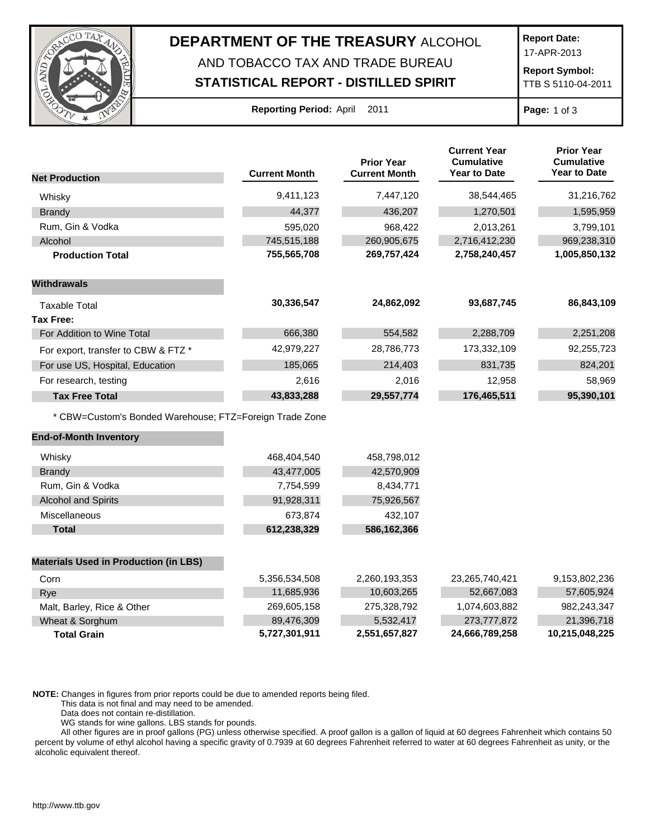

## **DEPARTMENT OF THE TREASURY** ALCOHOL AND TOBACCO TAX AND TRADE BUREAU

## **STATISTICAL REPORT - DISTILLED SPIRIT**

**Report Date:**

17-APR-2013

**Report Symbol:** TTB S 5110-04-2011

| <b>Reporting Period: April</b> |  |  | 2011 |
|--------------------------------|--|--|------|
|--------------------------------|--|--|------|

**Page:** 1 of 3

|                                                         |                      | <b>Prior Year</b><br><b>Current Month</b> | <b>Current Year</b><br><b>Cumulative</b><br><b>Year to Date</b> | <b>Prior Year</b><br><b>Cumulative</b><br><b>Year to Date</b> |
|---------------------------------------------------------|----------------------|-------------------------------------------|-----------------------------------------------------------------|---------------------------------------------------------------|
| <b>Net Production</b>                                   | <b>Current Month</b> |                                           |                                                                 |                                                               |
| Whisky                                                  | 9,411,123            | 7,447,120                                 | 38,544,465                                                      | 31,216,762                                                    |
| <b>Brandy</b>                                           | 44.377               | 436,207                                   | 1,270,501                                                       | 1,595,959                                                     |
| Rum, Gin & Vodka                                        | 595,020              | 968,422                                   | 2,013,261                                                       | 3,799,101                                                     |
| Alcohol                                                 | 745,515,188          | 260,905,675                               | 2,716,412,230                                                   | 969,238,310                                                   |
| <b>Production Total</b>                                 | 755,565,708          | 269,757,424                               | 2,758,240,457                                                   | 1,005,850,132                                                 |
| <b>Withdrawals</b>                                      |                      |                                           |                                                                 |                                                               |
| <b>Taxable Total</b>                                    | 30,336,547           | 24,862,092                                | 93,687,745                                                      | 86,843,109                                                    |
| <b>Tax Free:</b>                                        |                      |                                           |                                                                 |                                                               |
| For Addition to Wine Total                              | 666,380              | 554,582                                   | 2,288,709                                                       | 2,251,208                                                     |
| For export, transfer to CBW & FTZ *                     | 42,979,227           | 28,786,773                                | 173,332,109                                                     | 92,255,723                                                    |
| For use US, Hospital, Education                         | 185,065              | 214,403                                   | 831,735                                                         | 824,201                                                       |
| For research, testing                                   | 2,616                | 2,016                                     | 12,958                                                          | 58,969                                                        |
| <b>Tax Free Total</b>                                   | 43,833,288           | 29,557,774                                | 176,465,511                                                     | 95,390,101                                                    |
| * CBW=Custom's Bonded Warehouse; FTZ=Foreign Trade Zone |                      |                                           |                                                                 |                                                               |
| <b>End-of-Month Inventory</b>                           |                      |                                           |                                                                 |                                                               |
| Whisky                                                  | 468,404,540          | 458,798,012                               |                                                                 |                                                               |
| <b>Brandy</b>                                           | 43,477,005           | 42,570,909                                |                                                                 |                                                               |
| Rum, Gin & Vodka                                        | 7,754,599            | 8,434,771                                 |                                                                 |                                                               |
| <b>Alcohol and Spirits</b>                              | 91,928,311           | 75,926,567                                |                                                                 |                                                               |
| Miscellaneous                                           | 673,874              | 432,107                                   |                                                                 |                                                               |
| <b>Total</b>                                            | 612,238,329          | 586,162,366                               |                                                                 |                                                               |
| <b>Materials Used in Production (in LBS)</b>            |                      |                                           |                                                                 |                                                               |
| Corn                                                    | 5,356,534,508        | 2,260,193,353                             | 23,265,740,421                                                  | 9,153,802,236                                                 |
| Rye                                                     | 11,685,936           | 10,603,265                                | 52,667,083                                                      | 57,605,924                                                    |
| Malt, Barley, Rice & Other                              | 269,605,158          | 275,328,792                               | 1,074,603,882                                                   | 982,243,347                                                   |

**NOTE:** Changes in figures from prior reports could be due to amended reports being filed.

This data is not final and may need to be amended.

Data does not contain re-distillation.

WG stands for wine gallons. LBS stands for pounds.

All other figures are in proof gallons (PG) unless otherwise specified. A proof gallon is a gallon of liquid at 60 degrees Fahrenheit which contains 50 percent by volume of ethyl alcohol having a specific gravity of 0.7939 at 60 degrees Fahrenheit referred to water at 60 degrees Fahrenheit as unity, or the alcoholic equivalent thereof.

Wheat & Sorghum 89,476,309 89,476,309 5,532,417 273,777,872 21,396,718 **Total Grain 5,727,301,911 2,551,657,827 24,666,789,258 10,215,048,225**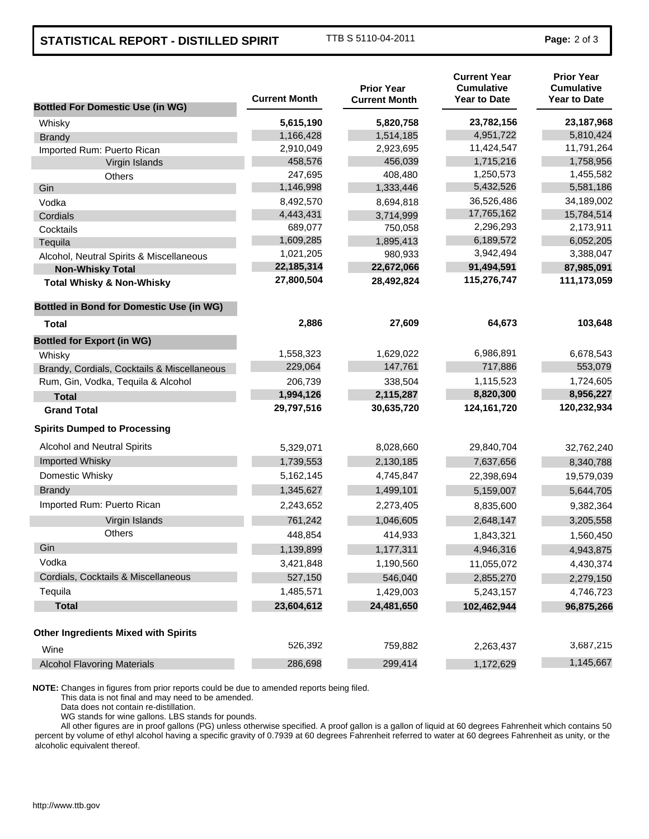## **STATISTICAL REPORT - DISTILLED SPIRIT** TTB S 5110-04-2011 **Page:** 2 of 3

| <b>Bottled For Domestic Use (in WG)</b>         | <b>Current Month</b> | <b>Prior Year</b><br><b>Current Month</b> | <b>Current Year</b><br><b>Cumulative</b><br><b>Year to Date</b> | <b>Prior Year</b><br><b>Cumulative</b><br><b>Year to Date</b> |
|-------------------------------------------------|----------------------|-------------------------------------------|-----------------------------------------------------------------|---------------------------------------------------------------|
| Whisky                                          | 5,615,190            | 5,820,758                                 | 23,782,156                                                      | 23, 187, 968                                                  |
| <b>Brandy</b>                                   | 1,166,428            | 1,514,185                                 | 4,951,722                                                       | 5,810,424                                                     |
| Imported Rum: Puerto Rican                      | 2,910,049            | 2,923,695                                 | 11,424,547                                                      | 11,791,264                                                    |
| Virgin Islands                                  | 458,576              | 456,039                                   | 1,715,216                                                       | 1,758,956                                                     |
| Others                                          | 247,695              | 408,480                                   | 1,250,573                                                       | 1,455,582                                                     |
| Gin                                             | 1,146,998            | 1,333,446                                 | 5,432,526                                                       | 5,581,186                                                     |
| Vodka                                           | 8,492,570            | 8,694,818                                 | 36,526,486                                                      | 34,189,002                                                    |
| Cordials                                        | 4,443,431            | 3,714,999                                 | 17,765,162                                                      | 15,784,514                                                    |
| Cocktails                                       | 689,077              | 750,058                                   | 2,296,293                                                       | 2,173,911                                                     |
| Tequila                                         | 1,609,285            | 1,895,413                                 | 6,189,572                                                       | 6,052,205                                                     |
| Alcohol, Neutral Spirits & Miscellaneous        | 1,021,205            | 980,933                                   | 3,942,494                                                       | 3,388,047                                                     |
| <b>Non-Whisky Total</b>                         | 22,185,314           | 22,672,066                                | 91,494,591                                                      | 87,985,091                                                    |
| <b>Total Whisky &amp; Non-Whisky</b>            | 27,800,504           | 28,492,824                                | 115,276,747                                                     | 111,173,059                                                   |
| <b>Bottled in Bond for Domestic Use (in WG)</b> |                      |                                           |                                                                 |                                                               |
| Total                                           | 2,886                | 27,609                                    | 64,673                                                          | 103,648                                                       |
| <b>Bottled for Export (in WG)</b>               |                      |                                           |                                                                 |                                                               |
| Whisky                                          | 1,558,323            | 1,629,022                                 | 6,986,891                                                       | 6,678,543                                                     |
| Brandy, Cordials, Cocktails & Miscellaneous     | 229,064              | 147,761                                   | 717,886                                                         | 553,079                                                       |
| Rum, Gin, Vodka, Tequila & Alcohol              | 206,739              | 338,504                                   | 1,115,523                                                       | 1,724,605                                                     |
| <b>Total</b>                                    | 1,994,126            | 2,115,287                                 | 8,820,300                                                       | 8,956,227                                                     |
| <b>Grand Total</b>                              | 29,797,516           | 30,635,720                                | 124, 161, 720                                                   | 120,232,934                                                   |
| <b>Spirits Dumped to Processing</b>             |                      |                                           |                                                                 |                                                               |
| Alcohol and Neutral Spirits                     | 5,329,071            | 8,028,660                                 | 29,840,704                                                      | 32,762,240                                                    |
| Imported Whisky                                 | 1,739,553            | 2,130,185                                 | 7,637,656                                                       | 8,340,788                                                     |
| Domestic Whisky                                 | 5,162,145            | 4,745,847                                 | 22,398,694                                                      | 19,579,039                                                    |
| <b>Brandy</b>                                   | 1,345,627            | 1,499,101                                 | 5,159,007                                                       | 5,644,705                                                     |
| Imported Rum: Puerto Rican                      | 2,243,652            | 2,273,405                                 | 8,835,600                                                       | 9,382,364                                                     |
| Virgin Islands                                  | 761,242              | 1,046,605                                 | 2,648,147                                                       | 3,205,558                                                     |
| <b>Others</b>                                   | 448,854              | 414,933                                   | 1,843,321                                                       | 1,560,450                                                     |
| Gin                                             | 1,139,899            | 1,177,311                                 | 4,946,316                                                       | 4,943,875                                                     |
| Vodka                                           | 3,421,848            | 1,190,560                                 | 11,055,072                                                      | 4,430,374                                                     |
| Cordials, Cocktails & Miscellaneous             | 527,150              | 546,040                                   | 2,855,270                                                       | 2,279,150                                                     |
| Tequila                                         | 1,485,571            | 1,429,003                                 | 5,243,157                                                       | 4,746,723                                                     |
| <b>Total</b>                                    | 23,604,612           | 24,481,650                                | 102,462,944                                                     | 96,875,266                                                    |
| <b>Other Ingredients Mixed with Spirits</b>     |                      |                                           |                                                                 |                                                               |
| Wine                                            | 526,392              | 759,882                                   | 2,263,437                                                       | 3,687,215                                                     |
| <b>Alcohol Flavoring Materials</b>              | 286,698              | 299,414                                   | 1,172,629                                                       | 1,145,667                                                     |

**NOTE:** Changes in figures from prior reports could be due to amended reports being filed.

This data is not final and may need to be amended.

Data does not contain re-distillation.

WG stands for wine gallons. LBS stands for pounds.

All other figures are in proof gallons (PG) unless otherwise specified. A proof gallon is a gallon of liquid at 60 degrees Fahrenheit which contains 50 percent by volume of ethyl alcohol having a specific gravity of 0.7939 at 60 degrees Fahrenheit referred to water at 60 degrees Fahrenheit as unity, or the alcoholic equivalent thereof.